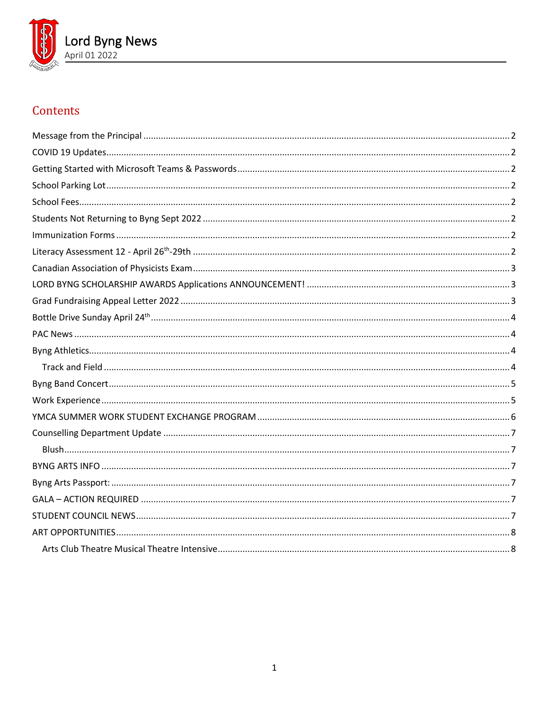

# Contents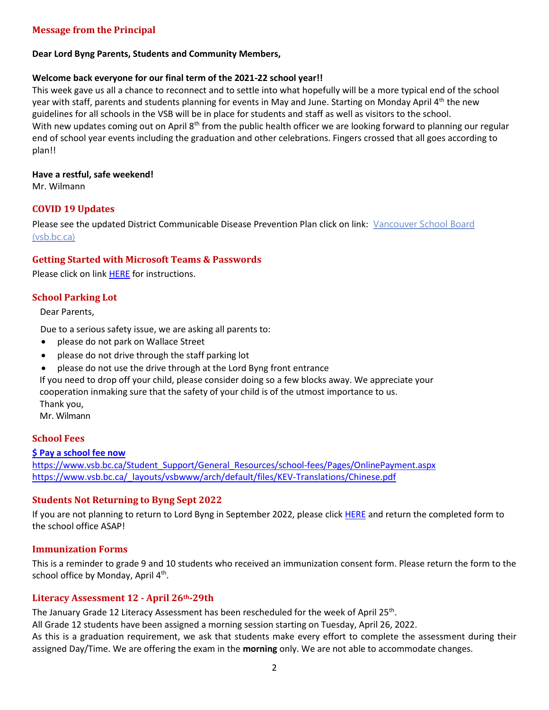# <span id="page-1-0"></span>**Message from the Principal**

#### **Dear Lord Byng Parents, Students and Community Members,**

#### **Welcome back everyone for our final term of the 2021-22 school year!!**

This week gave us all a chance to reconnect and to settle into what hopefully will be a more typical end of the school year with staff, parents and students planning for events in May and June. Starting on Monday April 4<sup>th</sup> the new guidelines for all schools in the VSB will be in place for students and staff as well as visitors to the school. With new updates coming out on April  $8<sup>th</sup>$  from the public health officer we are looking forward to planning our regular end of school year events including the graduation and other celebrations. Fingers crossed that all goes according to plan!!

#### **Have a restful, safe weekend!**

Mr. Wilmann

## <span id="page-1-1"></span>**COVID 19 Updates**

Please see the updated District Communicable Disease Prevention Plan click on link: [Vancouver School Board](https://www.vsb.bc.ca/COVID-19/updates/Pages/default.aspx)  [\(vsb.bc.ca\)](https://www.vsb.bc.ca/COVID-19/updates/Pages/default.aspx)

## <span id="page-1-2"></span>**Getting Started with Microsoft Teams & Passwords**

Please click on link [HERE](https://www.vsb.bc.ca/schools/lord-byng/About-Us/Publications/Documents/Getting%20Started%20with%20Microsoft%20Teams%20Jan%207%202022.pdf) for instructions.

## <span id="page-1-3"></span>**School Parking Lot**

Dear Parents,

Due to a serious safety issue, we are asking all parents to:

- please do not park on Wallace Street
- please do not drive through the staff parking lot
- please do not use the drive through at the Lord Byng front entrance

[If you need to drop off y](https://vsb.schoolcashonline.com/)our child, please consider doing so a few blocks away. We appreciate your cooperation inmaking sure that the safety of your child is of the utmost [importance](https://www.vsb.bc.ca/Student_Support/General_Resources/school-fees/Pages/OnlinePayment.aspx) to us. [Thank you,](https://www.vsb.bc.ca/_layouts/vsbwww/arch/default/files/KEV-Translations/Chinese.pdf) Mr. Wilmann

## <span id="page-1-4"></span>**School Fees**

## **\$ [Pay a school fee now](https://vsb.schoolcashonline.com/)**

https:/[/www.vsb.bc.ca/Student\\_Support/General\\_Resources/school-fees/Pages/OnlinePayment.aspx](http://www.vsb.bc.ca/Student_Support/General_Resources/school-fees/Pages/OnlinePayment.aspx) https:/[/www.vsb.bc.ca/\\_layouts/vsbwww/arch/default/files/KEV-Translations/Chinese.pdf](http://www.vsb.bc.ca/_layouts/vsbwww/arch/default/files/KEV-Translations/Chinese.pdf)

## <span id="page-1-5"></span>**Students Not Returning to Byng Sept 2022**

If you are not planning to return to Lord Byng in September 2022, please clic[k HERE](https://www.vsb.bc.ca/schools/lord-byng/About-Us/Publications/Documents/Not%20Returning%20To%20Byng%202022-2023.pdf) and return the completed form to the school office ASAP!

## <span id="page-1-6"></span>**Immunization Forms**

This is a reminder to grade 9 and 10 students who received an immunization consent form. Please return the form to the school office by Monday, April 4<sup>th</sup>.

## <span id="page-1-7"></span>**Literacy Assessment 12 - April 26th-29th**

The January Grade 12 Literacy Assessment has been rescheduled for the week of April 25<sup>th</sup>.

All Grade 12 students have been assigned a morning session starting on Tuesday, April 26, 2022.

As this is a graduation requirement, we ask that students make every effort to complete the assessment during their assigned Day/Time. We are offering the exam in the **morning** only. We are not able to accommodate changes.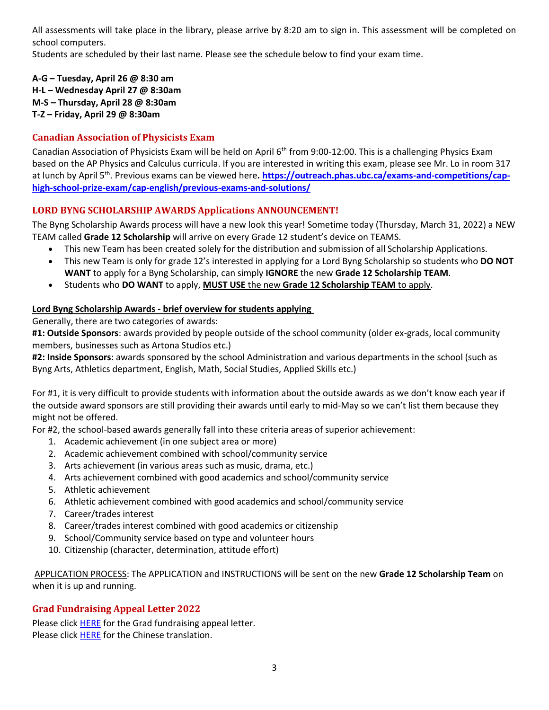All assessments will take place in the library, please arrive by 8:20 am to sign in. This assessment will be completed on school computers.

Students are scheduled by their last name. Please see the schedule below to find your exam time.

**A-G – Tuesday, April 26 @ 8:30 am H-L – Wednesday April 27 @ 8:30am M-S – Thursday, April 28 @ 8:30am T-Z – Friday, April 29 @ 8:30am**

# <span id="page-2-0"></span>**Canadian Association of Physicists Exam**

Canadian Association of Physicists Exam will be held on April 6<sup>th</sup> from 9:00-12:00. This is a challenging Physics Exam based on the AP Physics and Calculus curricula. If you are interested in writing this exam, please see Mr. Lo in room 317 at lunch by April 5th. Previous exams can be viewed here**. [https://outreach.phas.ubc.ca/exams-and-competitions/cap](https://outreach.phas.ubc.ca/exams-and-competitions/cap-high-school-prize-exam/cap-english/previous-exams-and-solutions/)[high-school-prize-exam/cap-english/previous-exams-and-solutions/](https://outreach.phas.ubc.ca/exams-and-competitions/cap-high-school-prize-exam/cap-english/previous-exams-and-solutions/)**

# <span id="page-2-1"></span>**LORD BYNG SCHOLARSHIP AWARDS Applications ANNOUNCEMENT!**

The Byng Scholarship Awards process will have a new look this year! Sometime today (Thursday, March 31, 2022) a NEW TEAM called **Grade 12 Scholarship** will arrive on every Grade 12 student's device on TEAMS.

- This new Team has been created solely for the distribution and submission of all Scholarship Applications.
- This new Team is only for grade 12's interested in applying for a Lord Byng Scholarship so students who **DO NOT WANT** to apply for a Byng Scholarship, can simply **IGNORE** the new **Grade 12 Scholarship TEAM**.
- Students who **DO WANT** to apply, **MUST USE** the new **Grade 12 Scholarship TEAM** to apply.

# **Lord Byng Scholarship Awards - brief overview for students applying**

Generally, there are two categories of awards:

**#1: Outside Sponsors**: awards provided by people outside of the school community (older ex-grads, local community members, businesses such as Artona Studios etc.)

**#2: Inside Sponsors**: awards sponsored by the school Administration and various departments in the school (such as Byng Arts, Athletics department, English, Math, Social Studies, Applied Skills etc.)

For #1, it is very difficult to provide students with information about the outside awards as we don't know each year if the outside award sponsors are still providing their awards until early to mid-May so we can't list them because they might not be offered.

For #2, the school-based awards generally fall into these criteria areas of superior achievement:

- 1. Academic achievement (in one subject area or more)
- 2. Academic achievement combined with school/community service
- 3. Arts achievement (in various areas such as music, drama, etc.)
- 4. Arts achievement combined with good academics and school/community service
- 5. Athletic achievement
- 6. Athletic achievement combined with good academics and school/community service
- 7. Career/trades interest
- 8. Career/trades interest combined with good academics or citizenship
- 9. School/Community service based on type and volunteer hours
- 10. Citizenship (character, determination, attitude effort)

APPLICATION PROCESS: The APPLICATION and INSTRUCTIONS will be sent on the new **Grade 12 Scholarship Team** on when it is up and running.

# <span id="page-2-2"></span>**Grad Fundraising Appeal Letter 2022**

Please click [HERE](https://www.vsb.bc.ca/schools/lord-byng/Families/Grad%20Parent%20Page/Documents/sbfile/220120/Grad%20Fundraising%20Appeal.pdf) for the Grad fundraising appeal letter. Please click [HERE](https://www.vsb.bc.ca/schools/lord-byng/Families/Grad%20Parent%20Page/Documents/sbfile/220121/Chinese%20Grad%20Fundraising%20Appeal%202022_2.pdf) for the Chinese translation.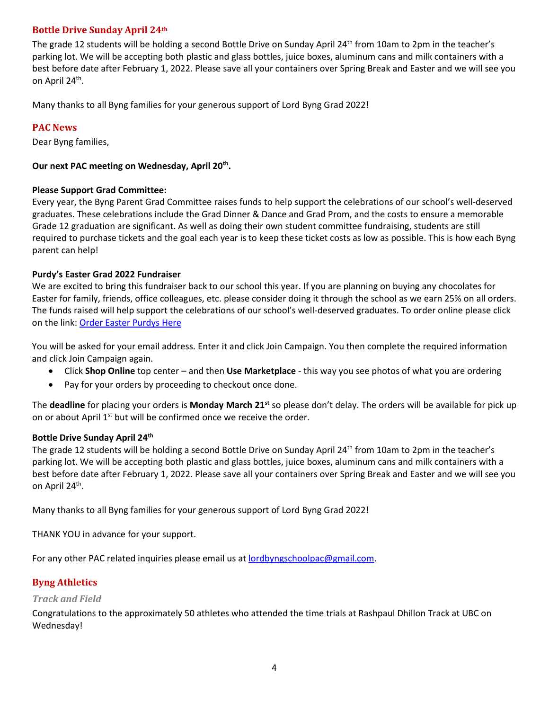# <span id="page-3-0"></span>**Bottle Drive Sunday April 24th**

The grade 12 students will be holding a second Bottle Drive on Sunday April 24<sup>th</sup> from 10am to 2pm in the teacher's parking lot. We will be accepting both plastic and glass bottles, juice boxes, aluminum cans and milk containers with a best before date after February 1, 2022. Please save all your containers over Spring Break and Easter and we will see you on April 24<sup>th</sup>.

Many thanks to all Byng families for your generous support of Lord Byng Grad 2022!

# <span id="page-3-1"></span>**PAC News**

Dear Byng families,

## **Our next PAC meeting on Wednesday, April 20th .**

## **Please Support Grad Committee:**

Every year, the Byng Parent Grad Committee raises funds to help support the celebrations of our school's well-deserved graduates. These celebrations include the Grad Dinner & Dance and Grad Prom, and the costs to ensure a memorable Grade 12 graduation are significant. As well as doing their own student committee fundraising, students are still required to purchase tickets and the goal each year is to keep these ticket costs as low as possible. This is how each Byng parent can help!

## **Purdy's Easter Grad 2022 Fundraiser**

We are excited to bring this fundraiser back to our school this year. If you are planning on buying any chocolates for Easter for family, friends, office colleagues, etc. please consider doing it through the school as we earn 25% on all orders. The funds raised will help support the celebrations of our school's well-deserved graduates. To order online please click on the link: Order Easter [Purdys](https://fundraising.purdys.com/join.aspx/1376024-92899) Here

You will be asked for your email address. Enter it and click Join Campaign. You then complete the required information and click Join Campaign again.

- Click **Shop Online** top center and then **Use Marketplace** this way you see photos of what you are ordering
- Pay for your orders by proceeding to checkout once done.

The **deadline** for placing your orders is **Monday March 21st** so please don't delay. The orders will be available for pick up on or about April  $1<sup>st</sup>$  but will be confirmed once we receive the order.

## **Bottle Drive Sunday April 24th**

The grade 12 students will be holding a second Bottle Drive on Sunday April 24<sup>th</sup> from 10am to 2pm in the teacher's parking lot. We will be accepting both plastic and glass bottles, juice boxes, aluminum cans and milk containers with a best before date after February 1, 2022. Please save all your containers over Spring Break and Easter and we will see you on April 24<sup>th</sup>.

Many thanks to all Byng families for your generous support of Lord Byng Grad 2022!

THANK YOU in advance for your support.

For any other PAC related inquiries please email us at [lordbyngschoolpac@gmail.com.](mailto:lordbyngschoolpac@gmail.com)

# <span id="page-3-2"></span>**Byng Athletics**

## <span id="page-3-3"></span>*Track and Field*

Congratulations to the approximately 50 athletes who attended the time trials at Rashpaul Dhillon Track at UBC on Wednesday!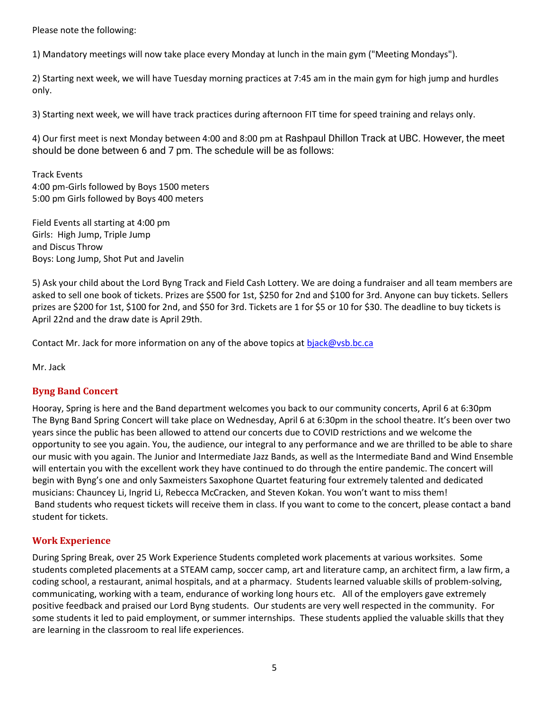Please note the following:

1) Mandatory meetings will now take place every Monday at lunch in the main gym ("Meeting Mondays").

2) Starting next week, we will have Tuesday morning practices at 7:45 am in the main gym for high jump and hurdles only.

3) Starting next week, we will have track practices during afternoon FIT time for speed training and relays only.

4) Our first meet is next Monday between 4:00 and 8:00 pm at Rashpaul Dhillon Track at UBC. However, the meet should be done between 6 and 7 pm. The schedule will be as follows:

Track Events 4:00 pm-Girls followed by Boys 1500 meters 5:00 pm Girls followed by Boys 400 meters

Field Events all starting at 4:00 pm Girls: High Jump, Triple Jump and Discus Throw Boys: Long Jump, Shot Put and Javelin

5) Ask your child about the Lord Byng Track and Field Cash Lottery. We are doing a fundraiser and all team members are asked to sell one book of tickets. Prizes are \$500 for 1st, \$250 for 2nd and \$100 for 3rd. Anyone can buy tickets. Sellers prizes are \$200 for 1st, \$100 for 2nd, and \$50 for 3rd. Tickets are 1 for \$5 or 10 for \$30. The deadline to buy tickets is April 22nd and the draw date is April 29th.

Contact Mr. Jack for more information on any of the above topics at [bjack@vsb.bc.ca](mailto:bjack@vsb.bc.ca)

Mr. Jack

## <span id="page-4-0"></span>**Byng Band Concert**

Hooray, Spring is here and the Band department welcomes you back to our community concerts, April 6 at 6:30pm The Byng Band Spring Concert will take place on Wednesday, April 6 at 6:30pm in the school theatre. It's been over two years since the public has been allowed to attend our concerts due to COVID restrictions and we welcome the opportunity to see you again. You, the audience, our integral to any performance and we are thrilled to be able to share our music with you again. The Junior and Intermediate Jazz Bands, as well as the Intermediate Band and Wind Ensemble will entertain you with the excellent work they have continued to do through the entire pandemic. The concert will begin with Byng's one and only Saxmeisters Saxophone Quartet featuring four extremely talented and dedicated musicians: Chauncey Li, Ingrid Li, Rebecca McCracken, and Steven Kokan. You won't want to miss them! Band students who request tickets will receive them in class. If you want to come to the concert, please contact a band student for tickets.

# <span id="page-4-1"></span>**Work Experience**

During Spring Break, over 25 Work Experience Students completed work placements at various worksites. Some students completed placements at a STEAM camp, soccer camp, art and literature camp, an architect firm, a law firm, a coding school, a restaurant, animal hospitals, and at a pharmacy. Students learned valuable skills of problem-solving, communicating, working with a team, endurance of working long hours etc. All of the employers gave extremely positive feedback and praised our Lord Byng students. Our students are very well respected in the community. For some students it led to paid employment, or summer internships. These students applied the valuable skills that they are learning in the classroom to real life experiences.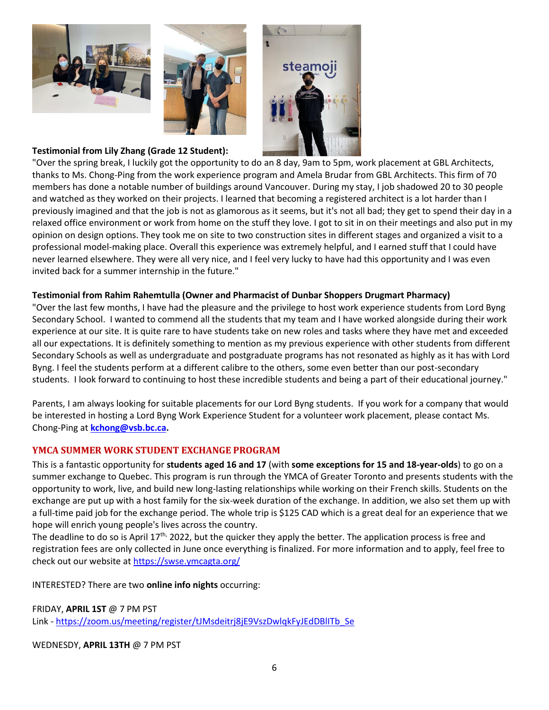





## **Testimonial from Lily Zhang (Grade 12 Student):**

"Over the spring break, I luckily got the opportunity to do an 8 day, 9am to 5pm, work placement at GBL Architects, thanks to Ms. Chong-Ping from the work experience program and Amela Brudar from GBL Architects. This firm of 70 members has done a notable number of buildings around Vancouver. During my stay, I job shadowed 20 to 30 people and watched as they worked on their projects. I learned that becoming a registered architect is a lot harder than I previously imagined and that the job is not as glamorous as it seems, but it's not all bad; they get to spend their day in a relaxed office environment or work from home on the stuff they love. I got to sit in on their meetings and also put in my opinion on design options. They took me on site to two construction sites in different stages and organized a visit to a professional model-making place. Overall this experience was extremely helpful, and I earned stuff that I could have never learned elsewhere. They were all very nice, and I feel very lucky to have had this opportunity and I was even invited back for a summer internship in the future."

## **Testimonial from Rahim Rahemtulla (Owner and Pharmacist of Dunbar Shoppers Drugmart Pharmacy)**

"Over the last few months, I have had the pleasure and the privilege to host work experience students from Lord Byng Secondary School. I wanted to commend all the students that my team and I have worked alongside during their work experience at our site. It is quite rare to have students take on new roles and tasks where they have met and exceeded all our expectations. It is definitely something to mention as my previous experience with other students from different Secondary Schools as well as undergraduate and postgraduate programs has not resonated as highly as it has with Lord Byng. I feel the students perform at a different calibre to the others, some even better than our post-secondary students. I look forward to continuing to host these incredible students and being a part of their educational journey."

Parents, I am always looking for suitable placements for our Lord Byng students. If you work for a company that would be interested in hosting a Lord Byng Work Experience Student for a volunteer work placement, please contact Ms. Chong-Ping at **[kchong@vsb.bc.ca.](mailto:kchong@vsb.bc.ca)**

# <span id="page-5-0"></span>**YMCA SUMMER WORK STUDENT EXCHANGE PROGRAM**

This is a fantastic opportunity for **students aged 16 and 17** (with **some exceptions for 15 and 18-year-olds**) to go on a summer exchange to Quebec. This program is run through the YMCA of Greater Toronto and presents students with the opportunity to work, live, and build new long-lasting relationships while working on their French skills. Students on the exchange are put up with a host family for the six-week duration of the exchange. In addition, we also set them up with a full-time paid job for the exchange period. The whole trip is \$125 CAD which is a great deal for an experience that we hope will enrich young people's lives across the country.

The deadline to do so is April  $17<sup>th</sup>$ , 2022, but the quicker they apply the better. The application process is free and registration fees are only collected in June once everything is finalized. For more information and to apply, feel free to check out our website at <https://swse.ymcagta.org/>

INTERESTED? There are two **online info nights** occurring:

FRIDAY, **APRIL 1ST** @ 7 PM PST Link - [https://zoom.us/meeting/register/tJMsdeitrj8jE9VszDwlqkFyJEdDBlITb\\_Se](https://zoom.us/meeting/register/tJMsdeitrj8jE9VszDwlqkFyJEdDBlITb_Se)

WEDNESDY, **APRIL 13TH** @ 7 PM PST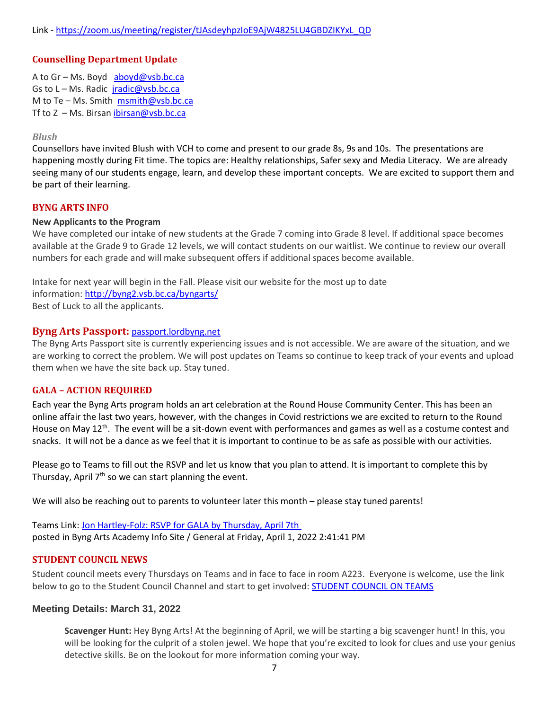# <span id="page-6-0"></span>**Counselling Department Update**

A to Gr – Ms. Boyd [aboyd@vsb.bc.ca](mailto:aboyd@vsb.bc.ca) Gs to L - Ms. Radic [jradic@vsb.bc.ca](mailto:jradic@vsb.bc.ca) M to Te – Ms. Smith  $msmith@vsb,bc.ca$ Tf to  $Z$  – Ms. Birsan ibirsan@vsb.bc.ca

#### <span id="page-6-1"></span>*Blush*

Counsellors have invited Blush with VCH to come and present to our grade 8s, 9s and 10s. The presentations are happening mostly during Fit time. The topics are: Healthy relationships, Safer sexy and Media Literacy. We are already seeing many of our students engage, learn, and develop these important concepts. We are excited to support them and be part of their learning.

#### <span id="page-6-2"></span>**BYNG ARTS INFO**

#### **New Applicants to the Program**

We have completed our intake of new students at the Grade 7 coming into Grade 8 level. If additional space becomes available at the Grade 9 to Grade 12 levels, we will contact students on our waitlist. We continue to review our overall numbers for each grade and will make subsequent offers if additional spaces become available.

Intake for next year will begin in the Fall. Please visit our website for the most up to date information: <http://byng2.vsb.bc.ca/byngarts/> Best of Luck to all the applicants.

#### <span id="page-6-3"></span>**Byng Arts Passport:** [passport.lordbyng.net](http://passport.lordbyng.net/)

The Byng Arts Passport site is currently experiencing issues and is not accessible. We are aware of the situation, and we are working to correct the problem. We will post updates on Teams so continue to keep track of your events and upload them when we have the site back up. Stay tuned.

## <span id="page-6-4"></span>**GALA – ACTION REQUIRED**

Each year the Byng Arts program holds an art celebration at the Round House Community Center. This has been an online affair the last two years, however, with the changes in Covid restrictions we are excited to return to the Round House on May 12<sup>th</sup>. The event will be a sit-down event with performances and games as well as a costume contest and snacks. It will not be a dance as we feel that it is important to continue to be as safe as possible with our activities.

Please go to Teams to fill out the RSVP and let us know that you plan to attend. It is important to complete this by Thursday, April  $7<sup>th</sup>$  so we can start planning the event.

We will also be reaching out to parents to volunteer later this month – please stay tuned parents!

Teams Link: [Jon Hartley-Folz: RSVP for GALA by Thursday, April 7th](https://teams.microsoft.com/l/message/19:3REzHABwkOxk5Xl8YaaJNFrRLmkPKd7Vpjr4K9gHZUI1@thread.tacv2/1648849301924?tenantId=0b8a2e58-7b30-4a08-bab7-d75559e0e3a5&groupId=0f991a6a-610f-435e-92af-4cad2f2e7c25&parentMessageId=1648849301924&teamName=Byng%20Arts%20Academy%20Info%20Site&channelName=General&createdTime=1648849301924) posted in Byng Arts Academy Info Site / General at Friday, April 1, 2022 2:41:41 PM

#### <span id="page-6-5"></span>**STUDENT COUNCIL NEWS**

Student council meets every Thursdays on Teams and in face to face in room A223. Everyone is welcome, use the link below to go to the Student Council Channel and start to get involved: **[STUDENT](https://teams.microsoft.com/l/channel/19%3a23116d8f7c5446fd8b43fbca0cdece3a%40thread.tacv2/Student%2520Council%2520Channel?groupId=0f991a6a-610f-435e-92af-4cad2f2e7c25&tenantId=0b8a2e58-7b30-4a08-bab7-d75559e0e3a5) COUNCIL ON TEAMS** 

#### **Meeting Details: March 31, 2022**

**Scavenger Hunt:** Hey Byng Arts! At the beginning of April, we will be starting a big scavenger hunt! In this, you will be looking for the culprit of a stolen jewel. We hope that you're excited to look for clues and use your genius detective skills. Be on the lookout for more information coming your way.